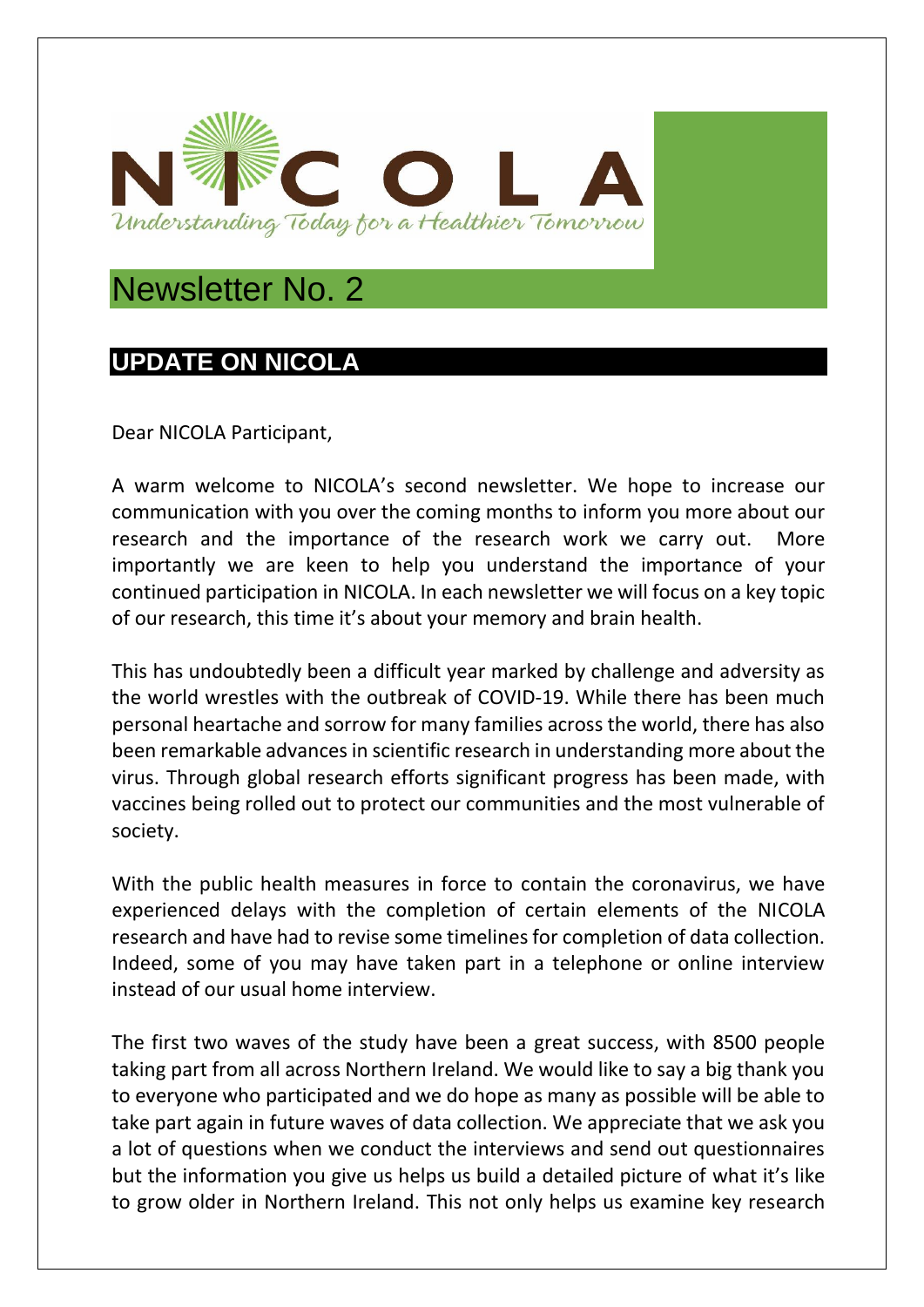

# Newsletter No. 2

# **UPDATE ON NICOLA**

Dear NICOLA Participant,

A warm welcome to NICOLA's second newsletter. We hope to increase our communication with you over the coming months to inform you more about our research and the importance of the research work we carry out. More importantly we are keen to help you understand the importance of your continued participation in NICOLA. In each newsletter we will focus on a key topic of our research, this time it's about your memory and brain health.

This has undoubtedly been a difficult year marked by challenge and adversity as the world wrestles with the outbreak of COVID-19. While there has been much personal heartache and sorrow for many families across the world, there has also been remarkable advances in scientific research in understanding more about the virus. Through global research efforts significant progress has been made, with vaccines being rolled out to protect our communities and the most vulnerable of society.

With the public health measures in force to contain the coronavirus, we have experienced delays with the completion of certain elements of the NICOLA research and have had to revise some timelines for completion of data collection. Indeed, some of you may have taken part in a telephone or online interview instead of our usual home interview.

The first two waves of the study have been a great success, with 8500 people taking part from all across Northern Ireland. We would like to say a big thank you to everyone who participated and we do hope as many as possible will be able to take part again in future waves of data collection. We appreciate that we ask you a lot of questions when we conduct the interviews and send out questionnaires but the information you give us helps us build a detailed picture of what it's like to grow older in Northern Ireland. This not only helps us examine key research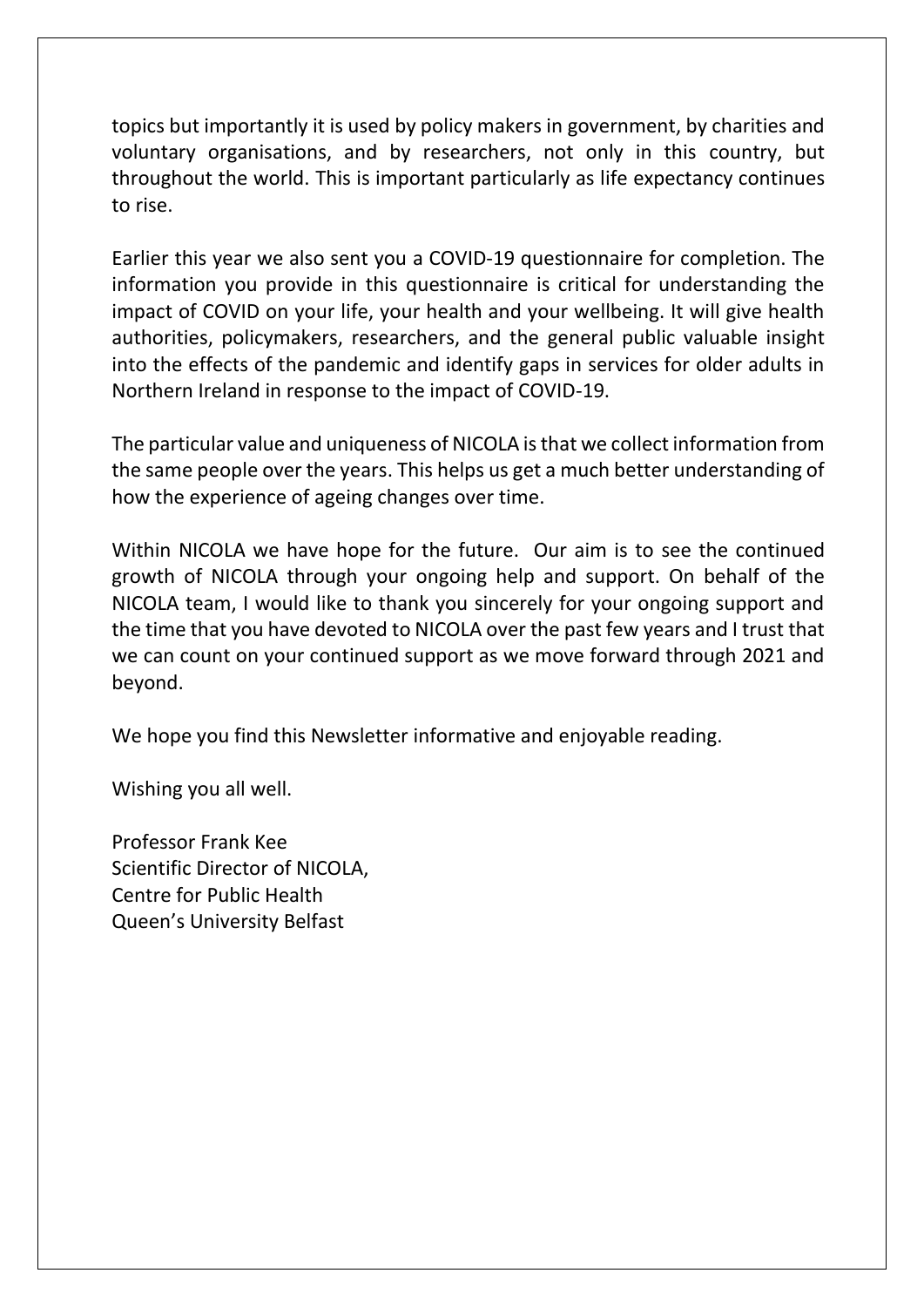topics but importantly it is used by policy makers in government, by charities and voluntary organisations, and by researchers, not only in this country, but throughout the world. This is important particularly as life expectancy continues to rise.

Earlier this year we also sent you a COVID-19 questionnaire for completion. The information you provide in this questionnaire is critical for understanding the impact of COVID on your life, your health and your wellbeing. It will give health authorities, policymakers, researchers, and the general public valuable insight into the effects of the pandemic and identify gaps in services for older adults in Northern Ireland in response to the impact of COVID-19.

The particular value and uniqueness of NICOLA is that we collect information from the same people over the years. This helps us get a much better understanding of how the experience of ageing changes over time.

Within NICOLA we have hope for the future. Our aim is to see the continued growth of NICOLA through your ongoing help and support. On behalf of the NICOLA team, I would like to thank you sincerely for your ongoing support and the time that you have devoted to NICOLA over the past few years and I trust that we can count on your continued support as we move forward through 2021 and beyond.

We hope you find this Newsletter informative and enjoyable reading.

Wishing you all well.

Professor Frank Kee Scientific Director of NICOLA, Centre for Public Health Queen's University Belfast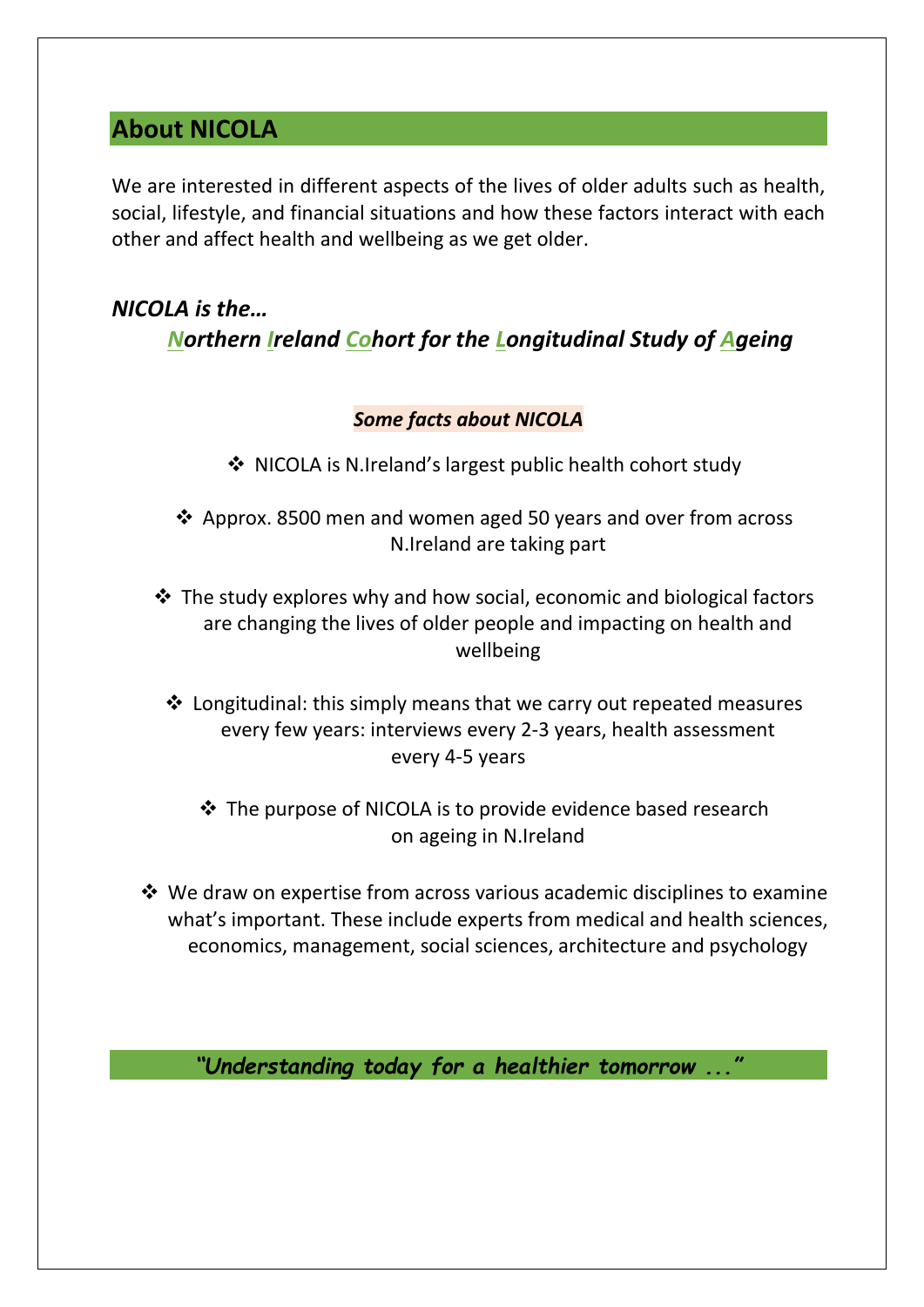# **About NICOLA**

We are interested in different aspects of the lives of older adults such as health, social, lifestyle, and financial situations and how these factors interact with each other and affect health and wellbeing as we get older.

# *NICOLA is the… Northern Ireland Cohort for the Longitudinal Study of Ageing*

## *Some facts about NICOLA*

- ❖ NICOLA is N.Ireland's largest public health cohort study
- ❖ Approx. 8500 men and women aged 50 years and over from across N.Ireland are taking part
- ❖ The study explores why and how social, economic and biological factors are changing the lives of older people and impacting on health and wellbeing
	- ❖ Longitudinal: this simply means that we carry out repeated measures every few years: interviews every 2-3 years, health assessment every 4-5 years
		- ❖ The purpose of NICOLA is to provide evidence based research on ageing in N.Ireland
- ❖ We draw on expertise from across various academic disciplines to examine what's important. These include experts from medical and health sciences, economics, management, social sciences, architecture and psychology

*"Understanding today for a healthier tomorrow ..."*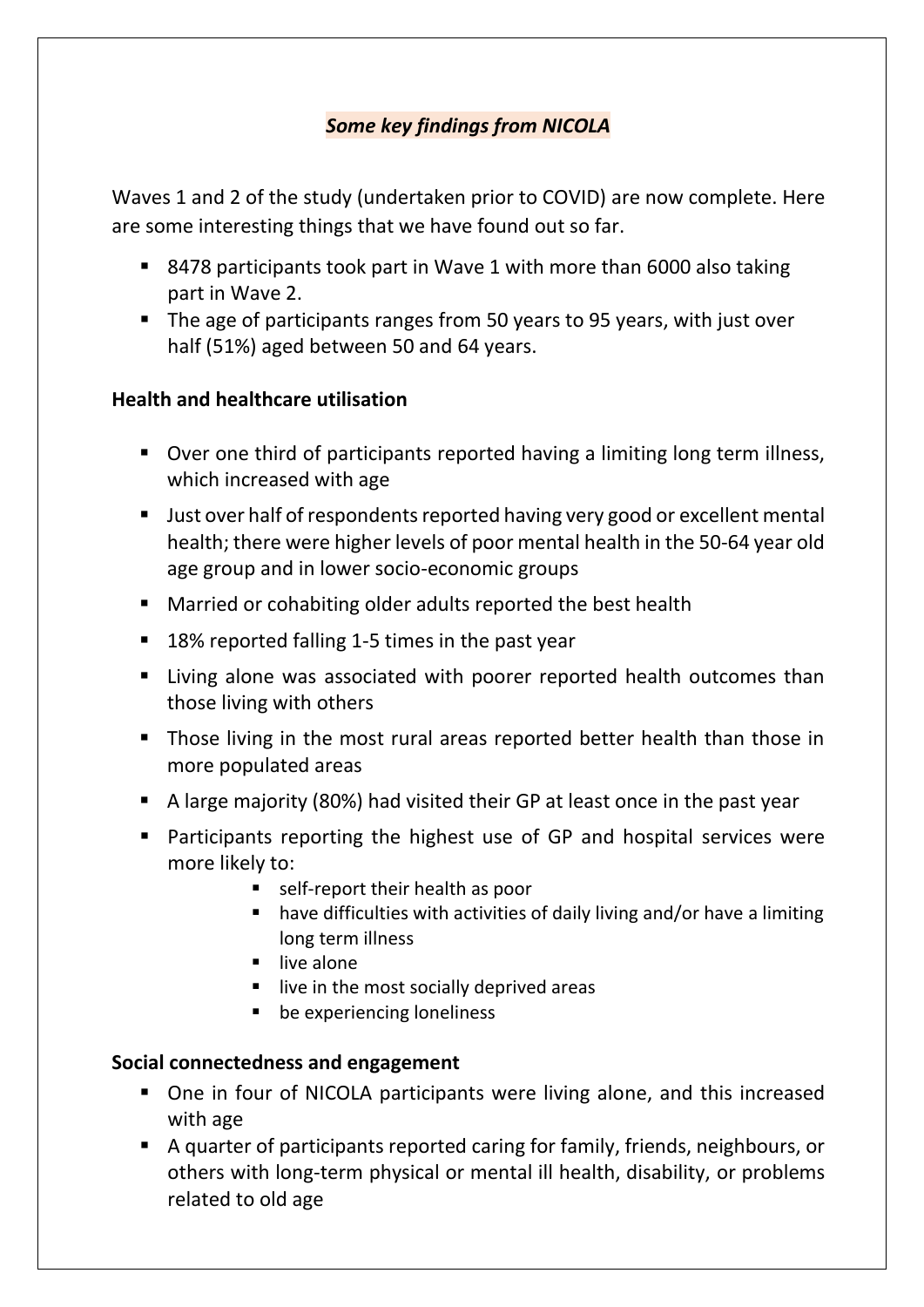## *Some key findings from NICOLA*

Waves 1 and 2 of the study (undertaken prior to COVID) are now complete. Here are some interesting things that we have found out so far.

- 8478 participants took part in Wave 1 with more than 6000 also taking part in Wave 2.
- The age of participants ranges from 50 years to 95 years, with just over half (51%) aged between 50 and 64 years.

## **Health and healthcare utilisation**

- Over one third of participants reported having a limiting long term illness, which increased with age
- Just over half of respondents reported having very good or excellent mental health; there were higher levels of poor mental health in the 50-64 year old age group and in lower socio-economic groups
- Married or cohabiting older adults reported the best health
- 18% reported falling 1-5 times in the past year
- Living alone was associated with poorer reported health outcomes than those living with others
- Those living in the most rural areas reported better health than those in more populated areas
- A large majority (80%) had visited their GP at least once in the past year
- Participants reporting the highest use of GP and hospital services were more likely to:
	- self-report their health as poor
	- have difficulties with activities of daily living and/or have a limiting long term illness
	- **■** live alone
	- live in the most socially deprived areas
	- be experiencing loneliness

## **Social connectedness and engagement**

- One in four of NICOLA participants were living alone, and this increased with age
- A quarter of participants reported caring for family, friends, neighbours, or others with long-term physical or mental ill health, disability, or problems related to old age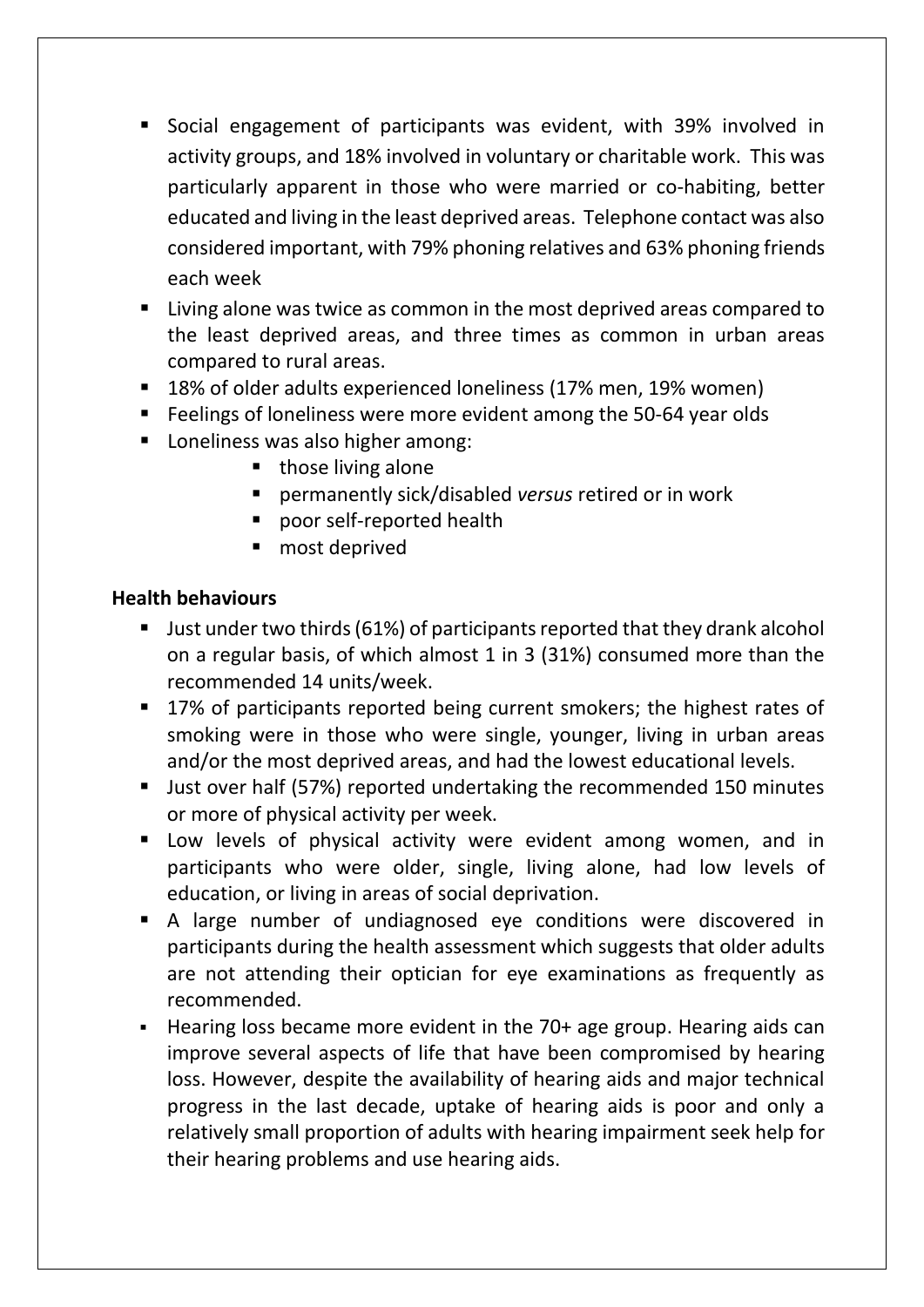- Social engagement of participants was evident, with 39% involved in activity groups, and 18% involved in voluntary or charitable work. This was particularly apparent in those who were married or co-habiting, better educated and living in the least deprived areas. Telephone contact was also considered important, with 79% phoning relatives and 63% phoning friends each week
- Living alone was twice as common in the most deprived areas compared to the least deprived areas, and three times as common in urban areas compared to rural areas.
- 18% of older adults experienced loneliness (17% men, 19% women)
- Feelings of loneliness were more evident among the 50-64 year olds
- Loneliness was also higher among:
	- those living alone
	- permanently sick/disabled *versus* retired or in work
	- poor self-reported health
	- most deprived

## **Health behaviours**

- Just under two thirds (61%) of participants reported that they drank alcohol on a regular basis, of which almost 1 in 3 (31%) consumed more than the recommended 14 units/week.
- 17% of participants reported being current smokers; the highest rates of smoking were in those who were single, younger, living in urban areas and/or the most deprived areas, and had the lowest educational levels.
- Just over half (57%) reported undertaking the recommended 150 minutes or more of physical activity per week.
- **E** Low levels of physical activity were evident among women, and in participants who were older, single, living alone, had low levels of education, or living in areas of social deprivation.
- A large number of undiagnosed eye conditions were discovered in participants during the health assessment which suggests that older adults are not attending their optician for eye examinations as frequently as recommended.
- Hearing loss became more evident in the 70+ age group. Hearing aids can improve several aspects of life that have been compromised by hearing loss. However, despite the availability of hearing aids and major technical progress in the last decade, uptake of hearing aids is poor and only a relatively small proportion of adults with hearing impairment seek help for their hearing problems and use hearing aids.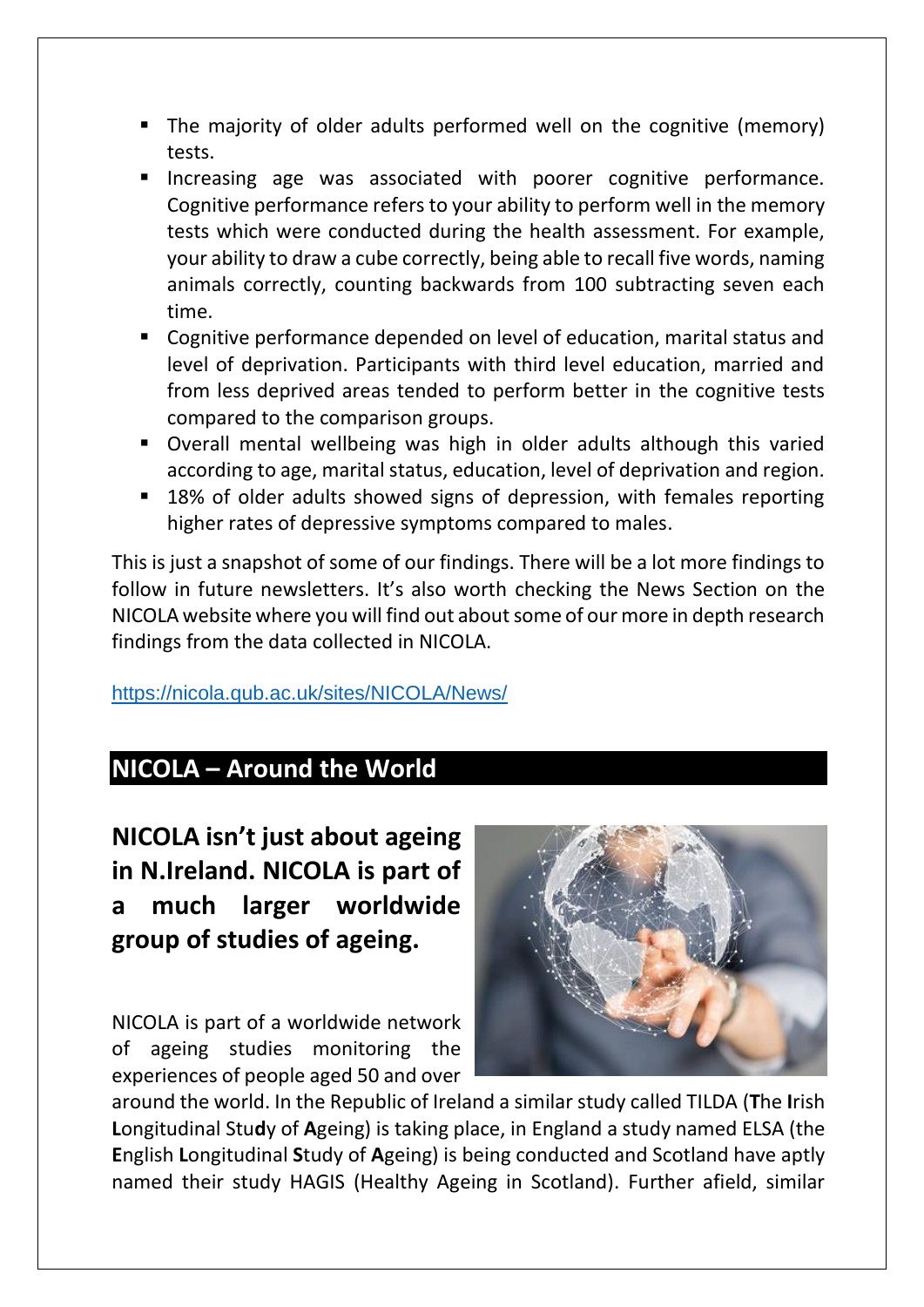- The majority of older adults performed well on the cognitive (memory) tests.
- Increasing age was associated with poorer cognitive performance. Cognitive performance refers to your ability to perform well in the memory tests which were conducted during the health assessment. For example, your ability to draw a cube correctly, being able to recall five words, naming animals correctly, counting backwards from 100 subtracting seven each time.
- Cognitive performance depended on level of education, marital status and level of deprivation. Participants with third level education, married and from less deprived areas tended to perform better in the cognitive tests compared to the comparison groups.
- Overall mental wellbeing was high in older adults although this varied according to age, marital status, education, level of deprivation and region.
- 18% of older adults showed signs of depression, with females reporting higher rates of depressive symptoms compared to males.

This is just a snapshot of some of our findings. There will be a lot more findings to follow in future newsletters. It's also worth checking the News Section on the NICOLA website where you will find out about some of our more in depth research findings from the data collected in NICOLA.

<https://nicola.qub.ac.uk/sites/NICOLA/News/>

# **NICOLA – Around the World**

**NICOLA isn't just about ageing in N.Ireland. NICOLA is part of a much larger worldwide group of studies of ageing.**

NICOLA is part of a worldwide network of ageing studies monitoring the experiences of people aged 50 and over



around the world. In the Republic of Ireland a similar study called TILDA (**T**he **I**rish **L**ongitudinal Stu**d**y of **A**geing) is taking place, in England a study named ELSA (the **E**nglish **L**ongitudinal **S**tudy of **A**geing) is being conducted and Scotland have aptly named their study HAGIS (Healthy Ageing in Scotland). Further afield, similar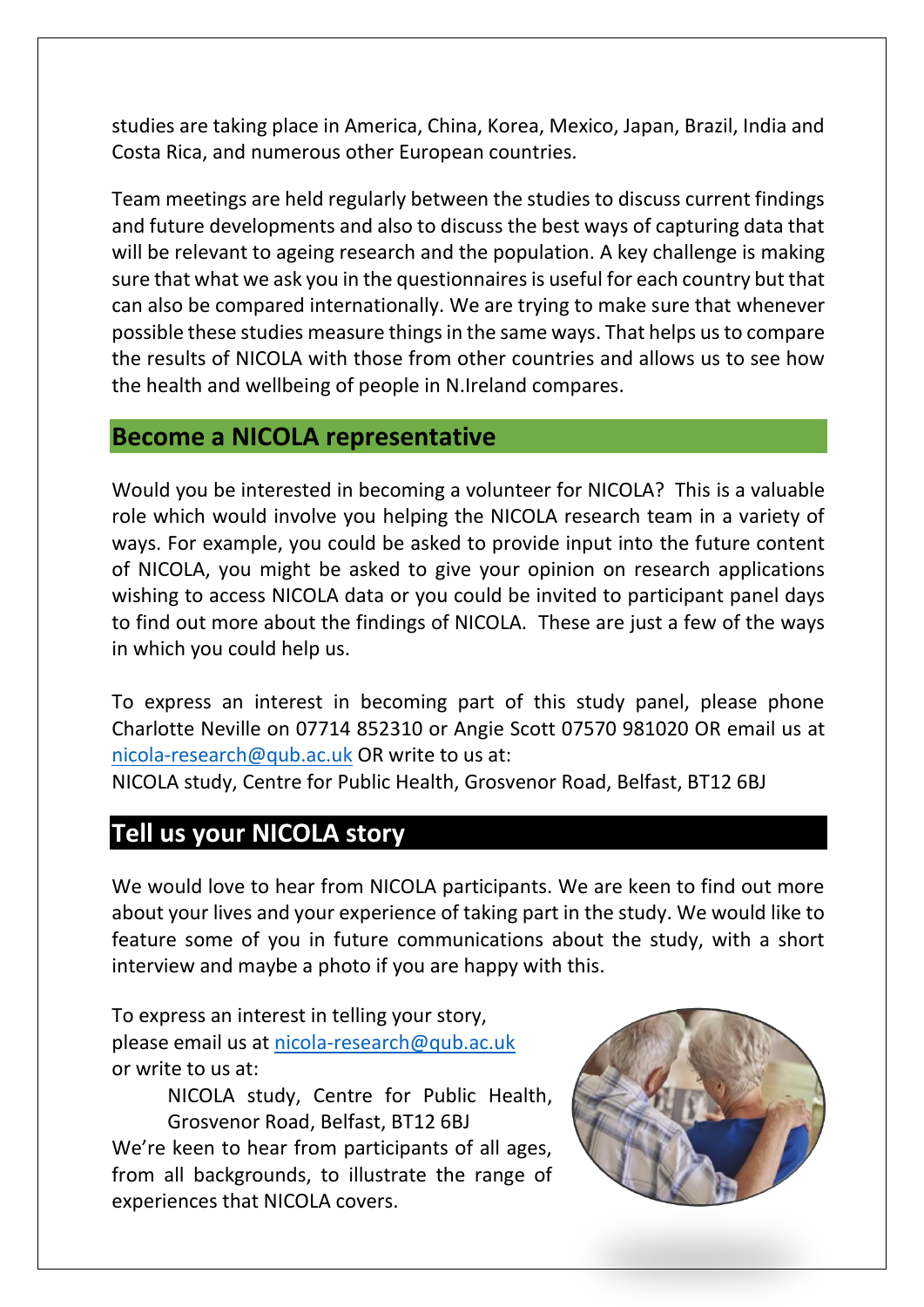studies are taking place in America, China, Korea, Mexico, Japan, Brazil, India and Costa Rica, and numerous other European countries.

Team meetings are held regularly between the studies to discuss current findings and future developments and also to discuss the best ways of capturing data that will be relevant to ageing research and the population. A key challenge is making sure that what we ask you in the questionnaires is useful for each country but that can also be compared internationally. We are trying to make sure that whenever possible these studies measure things in the same ways. That helps us to compare the results of NICOLA with those from other countries and allows us to see how the health and wellbeing of people in N.Ireland compares.

## **Become a NICOLA representative**

Would you be interested in becoming a volunteer for NICOLA? This is a valuable role which would involve you helping the NICOLA research team in a variety of ways. For example, you could be asked to provide input into the future content of NICOLA, you might be asked to give your opinion on research applications wishing to access NICOLA data or you could be invited to participant panel days to find out more about the findings of NICOLA. These are just a few of the ways in which you could help us.

To express an interest in becoming part of this study panel, please phone Charlotte Neville on 07714 852310 or Angie Scott 07570 981020 OR email us at [nicola-research@qub.ac.uk](mailto:nicola-research@qub.ac.uk) OR write to us at:

NICOLA study, Centre for Public Health, Grosvenor Road, Belfast, BT12 6BJ

# **Tell us your NICOLA story**

We would love to hear from NICOLA participants. We are keen to find out more about your lives and your experience of taking part in the study. We would like to feature some of you in future communications about the study, with a short interview and maybe a photo if you are happy with this.

To express an interest in telling your story, please email us at [nicola-research@qub.ac.uk](mailto:nicola-research@qub.ac.uk) or write to us at:

> NICOLA study, Centre for Public Health, Grosvenor Road, Belfast, BT12 6BJ

We're keen to hear from participants of all ages, from all backgrounds, to illustrate the range of experiences that NICOLA covers.

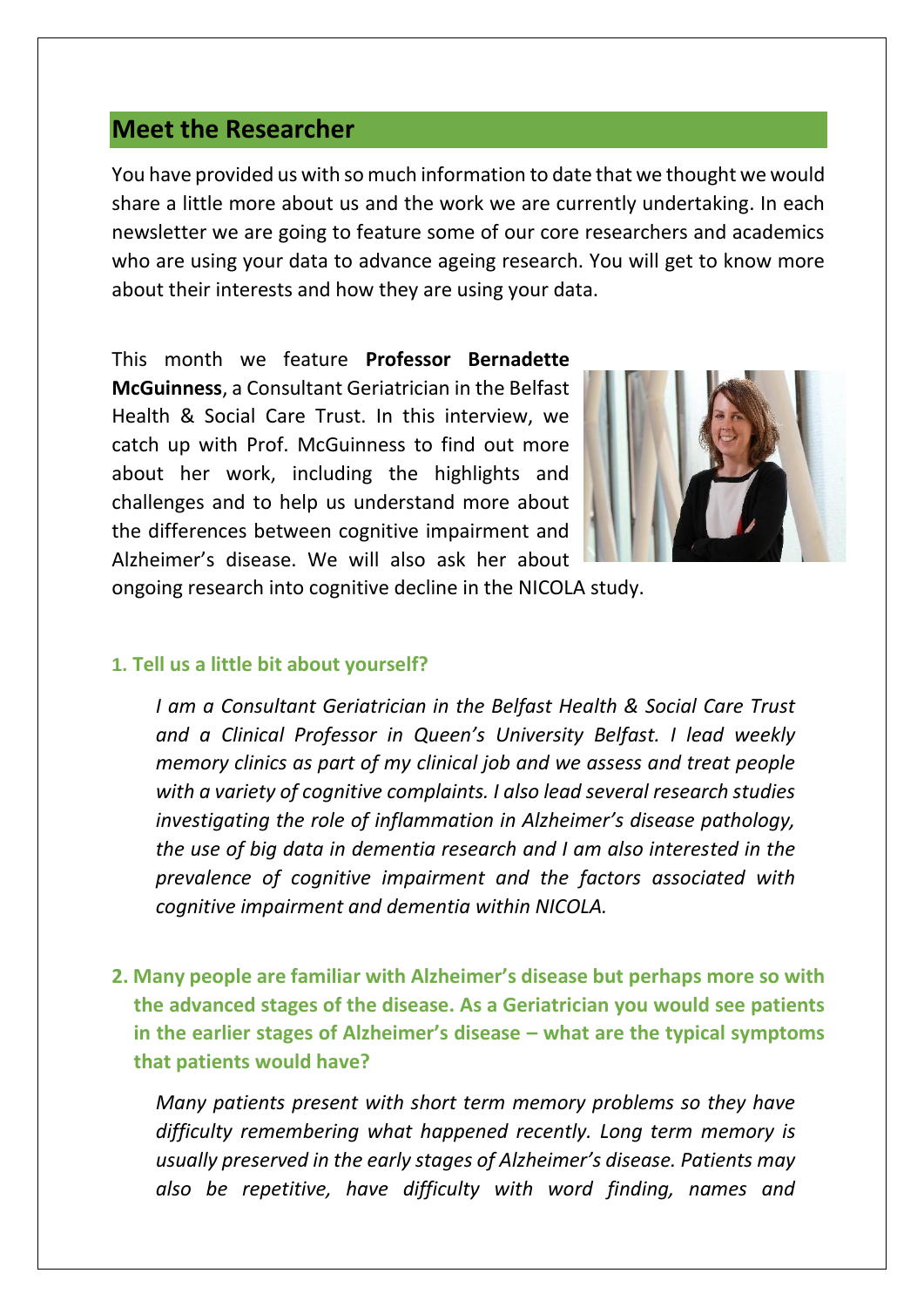# **Meet the Researcher**

You have provided us with so much information to date that we thought we would share a little more about us and the work we are currently undertaking. In each newsletter we are going to feature some of our core researchers and academics who are using your data to advance ageing research. You will get to know more about their interests and how they are using your data.

This month we feature **Professor Bernadette McGuinness**, a Consultant Geriatrician in the Belfast Health & Social Care Trust. In this interview, we catch up with Prof. McGuinness to find out more about her work, including the highlights and challenges and to help us understand more about the differences between cognitive impairment and Alzheimer's disease. We will also ask her about



ongoing research into cognitive decline in the NICOLA study.

### **1. Tell us a little bit about yourself?**

*I am a Consultant Geriatrician in the Belfast Health & Social Care Trust and a Clinical Professor in Queen's University Belfast. I lead weekly memory clinics as part of my clinical job and we assess and treat people with a variety of cognitive complaints. I also lead several research studies investigating the role of inflammation in Alzheimer's disease pathology, the use of big data in dementia research and I am also interested in the prevalence of cognitive impairment and the factors associated with cognitive impairment and dementia within NICOLA.*

**2. Many people are familiar with Alzheimer's disease but perhaps more so with the advanced stages of the disease. As a Geriatrician you would see patients in the earlier stages of Alzheimer's disease – what are the typical symptoms that patients would have?** 

*Many patients present with short term memory problems so they have difficulty remembering what happened recently. Long term memory is usually preserved in the early stages of Alzheimer's disease. Patients may also be repetitive, have difficulty with word finding, names and*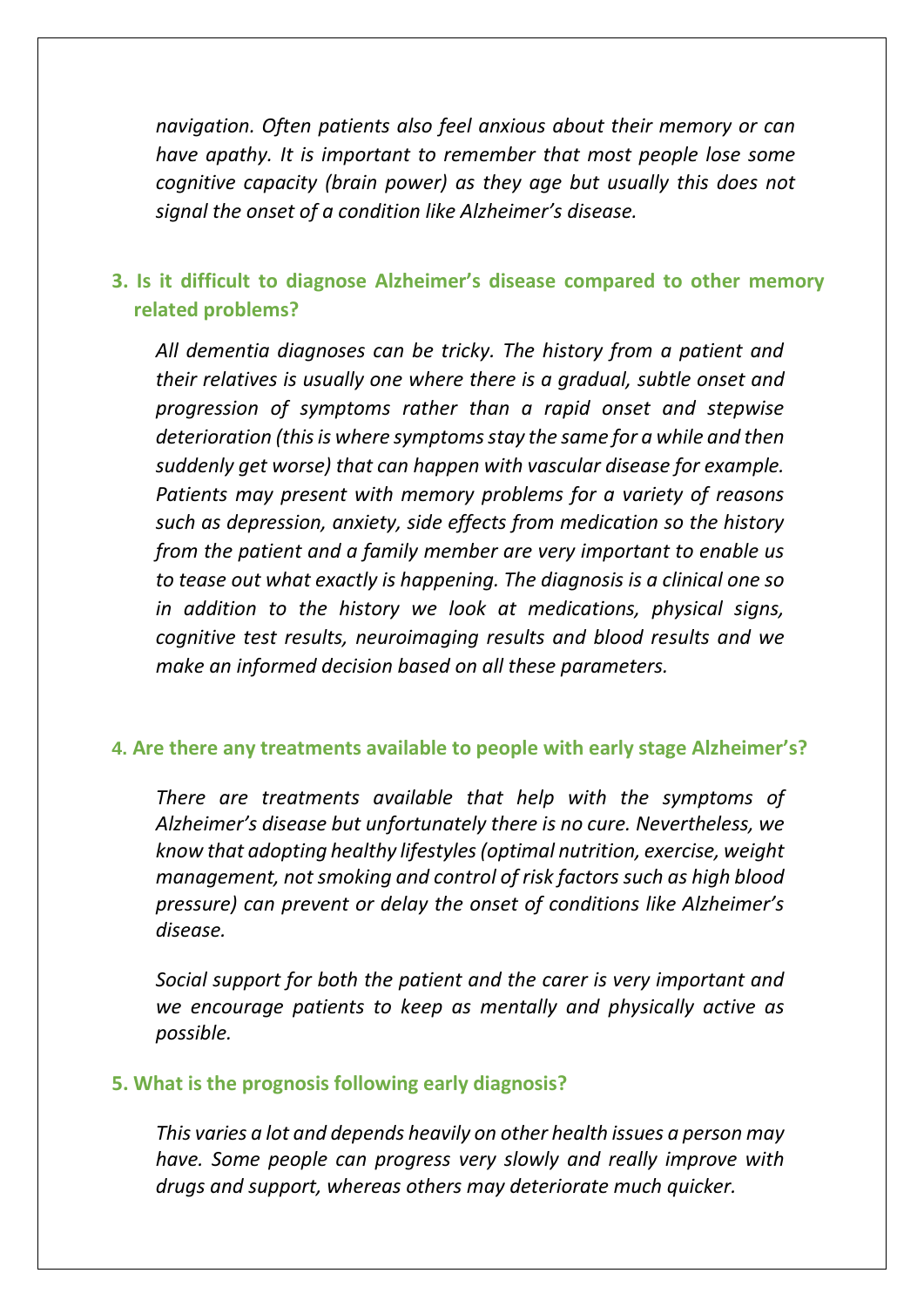*navigation. Often patients also feel anxious about their memory or can have apathy. It is important to remember that most people lose some cognitive capacity (brain power) as they age but usually this does not signal the onset of a condition like Alzheimer's disease.*

## **3. Is it difficult to diagnose Alzheimer's disease compared to other memory related problems?**

*All dementia diagnoses can be tricky. The history from a patient and their relatives is usually one where there is a gradual, subtle onset and progression of symptoms rather than a rapid onset and stepwise deterioration (this is where symptoms stay the same for a while and then suddenly get worse) that can happen with vascular disease for example. Patients may present with memory problems for a variety of reasons such as depression, anxiety, side effects from medication so the history from the patient and a family member are very important to enable us to tease out what exactly is happening. The diagnosis is a clinical one so in addition to the history we look at medications, physical signs, cognitive test results, neuroimaging results and blood results and we make an informed decision based on all these parameters.*

## **4. Are there any treatments available to people with early stage Alzheimer's?**

*There are treatments available that help with the symptoms of Alzheimer's disease but unfortunately there is no cure. Nevertheless, we know that adopting healthy lifestyles (optimal nutrition, exercise, weight management, not smoking and control of risk factors such as high blood pressure) can prevent or delay the onset of conditions like Alzheimer's disease.* 

*Social support for both the patient and the carer is very important and we encourage patients to keep as mentally and physically active as possible.*

#### **5. What is the prognosis following early diagnosis?**

*This varies a lot and depends heavily on other health issues a person may have. Some people can progress very slowly and really improve with drugs and support, whereas others may deteriorate much quicker.*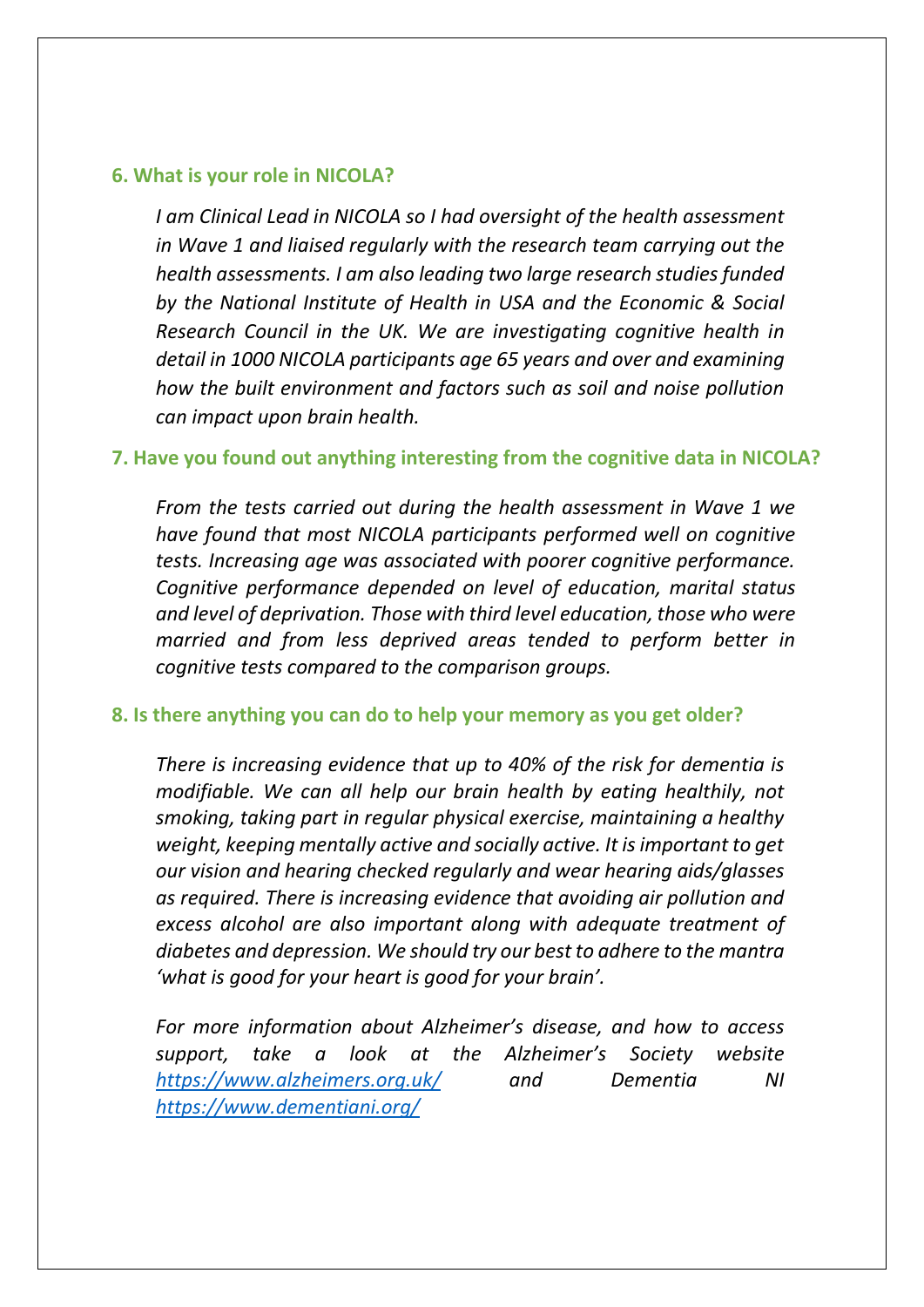#### **6. What is your role in NICOLA?**

*I am Clinical Lead in NICOLA so I had oversight of the health assessment in Wave 1 and liaised regularly with the research team carrying out the health assessments. I am also leading two large research studies funded by the National Institute of Health in USA and the Economic & Social Research Council in the UK. We are investigating cognitive health in detail in 1000 NICOLA participants age 65 years and over and examining how the built environment and factors such as soil and noise pollution can impact upon brain health.*

#### **7. Have you found out anything interesting from the cognitive data in NICOLA?**

*From the tests carried out during the health assessment in Wave 1 we have found that most NICOLA participants performed well on cognitive tests. Increasing age was associated with poorer cognitive performance. Cognitive performance depended on level of education, marital status and level of deprivation. Those with third level education, those who were married and from less deprived areas tended to perform better in cognitive tests compared to the comparison groups.* 

#### **8. Is there anything you can do to help your memory as you get older?**

*There is increasing evidence that up to 40% of the risk for dementia is modifiable. We can all help our brain health by eating healthily, not smoking, taking part in regular physical exercise, maintaining a healthy weight, keeping mentally active and socially active. It is important to get our vision and hearing checked regularly and wear hearing aids/glasses as required. There is increasing evidence that avoiding air pollution and excess alcohol are also important along with adequate treatment of diabetes and depression. We should try our best to adhere to the mantra 'what is good for your heart is good for your brain'.* 

*For more information about Alzheimer's disease, and how to access support, take a look at the Alzheimer's Society website <https://www.alzheimers.org.uk/> and Dementia NI <https://www.dementiani.org/>*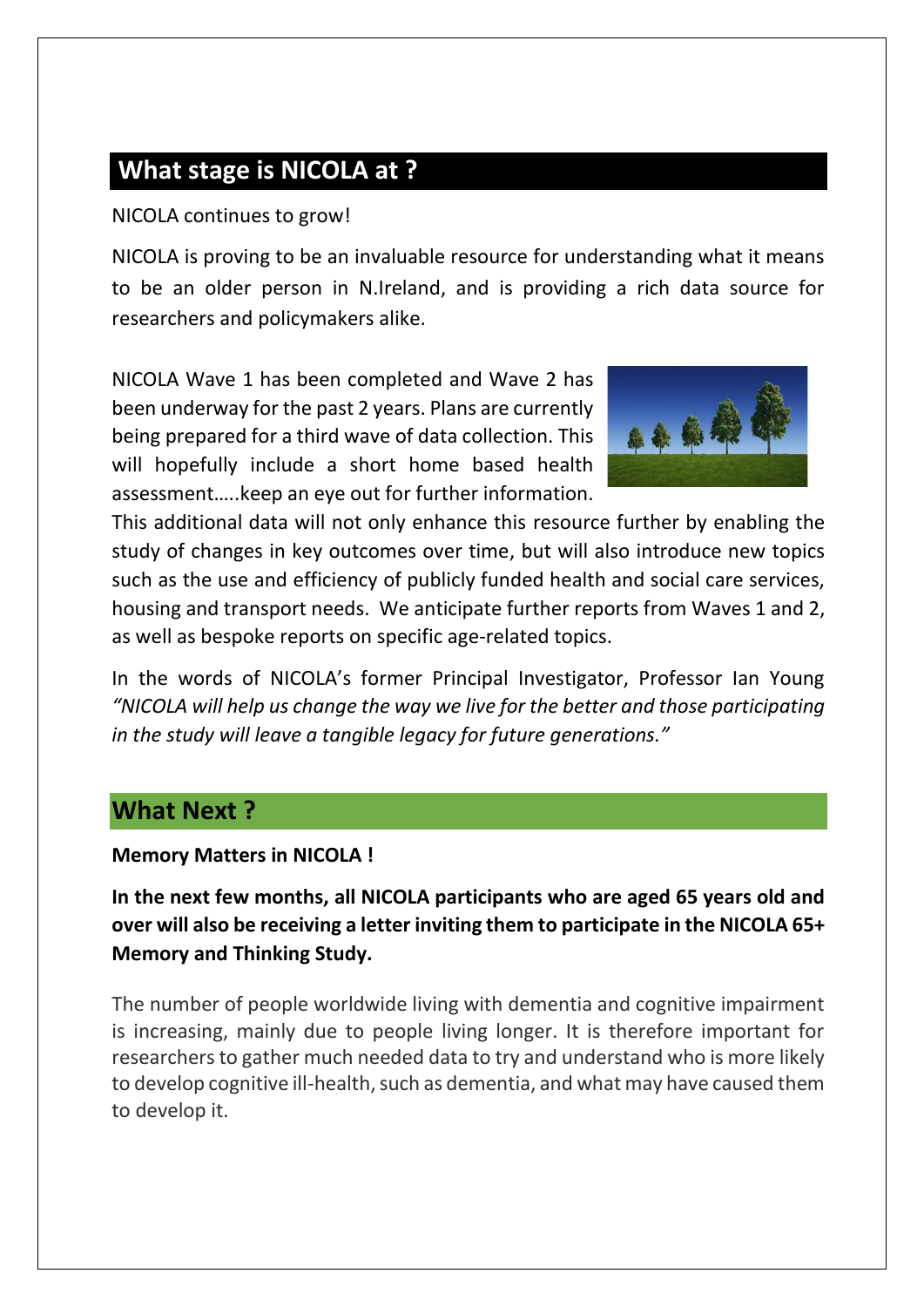# **What stage is NICOLA at ?**

NICOLA continues to grow!

NICOLA is proving to be an invaluable resource for understanding what it means to be an older person in N.Ireland, and is providing a rich data source for researchers and policymakers alike.

NICOLA Wave 1 has been completed and Wave 2 has been underway for the past 2 years. Plans are currently being prepared for a third wave of data collection. This will hopefully include a short home based health assessment…..keep an eye out for further information.



This additional data will not only enhance this resource further by enabling the study of changes in key outcomes over time, but will also introduce new topics such as the use and efficiency of publicly funded health and social care services, housing and transport needs. We anticipate further reports from Waves 1 and 2, as well as bespoke reports on specific age-related topics.

In the words of NICOLA's former Principal Investigator, Professor Ian Young *"NICOLA will help us change the way we live for the better and those participating in the study will leave a tangible legacy for future generations."*

# **What Next ?**

**Memory Matters in NICOLA !** 

**In the next few months, all NICOLA participants who are aged 65 years old and over will also be receiving a letter inviting them to participate in the NICOLA 65+ Memory and Thinking Study.** 

The number of people worldwide living with dementia and cognitive impairment is increasing, mainly due to people living longer. It is therefore important for researchers to gather much needed data to try and understand who is more likely to develop cognitive ill-health, such as dementia, and what may have caused them to develop it.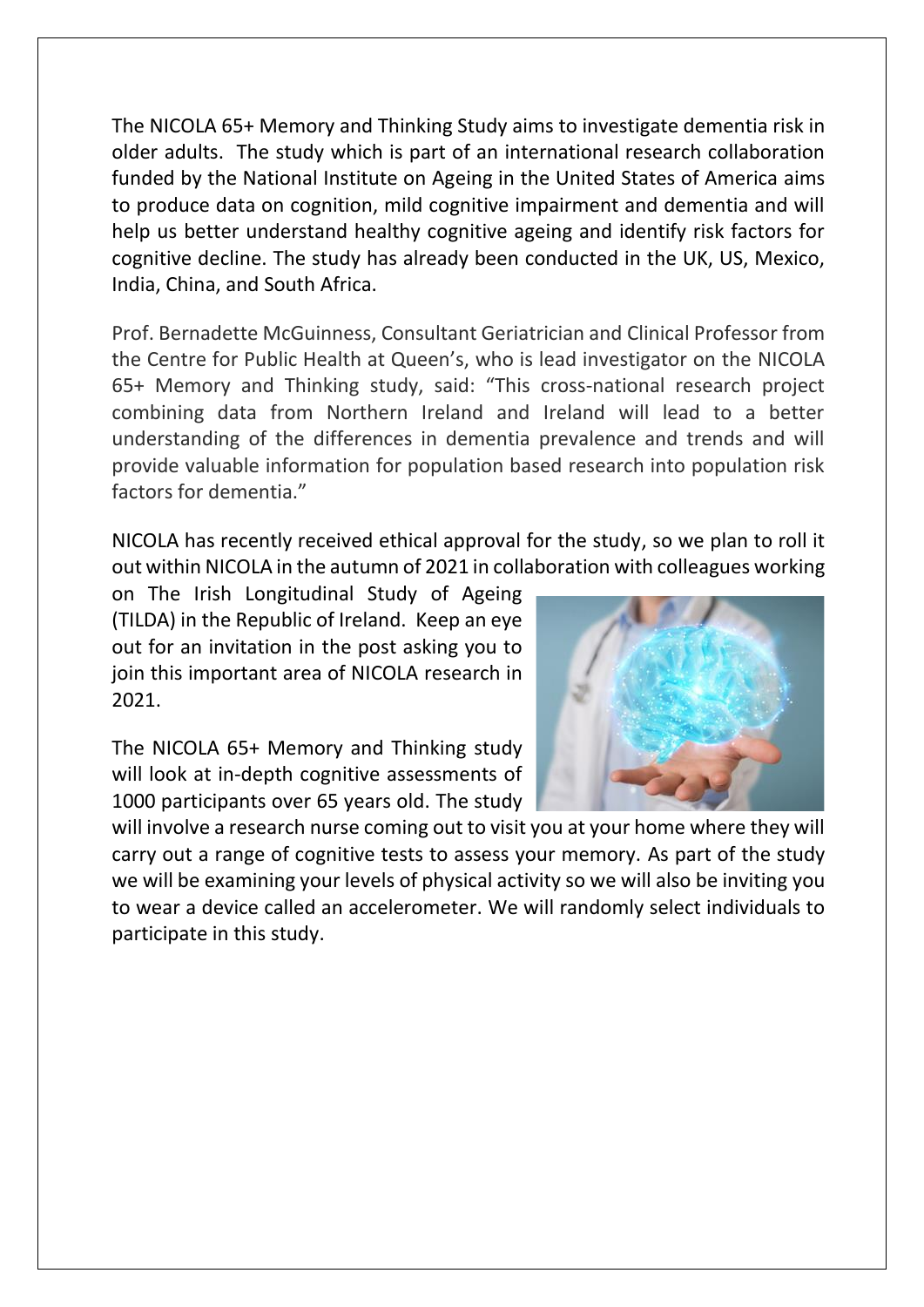The NICOLA 65+ Memory and Thinking Study aims to investigate dementia risk in older adults. The study which is part of an international research collaboration funded by the National Institute on Ageing in the United States of America aims to produce data on cognition, mild cognitive impairment and dementia and will help us better understand healthy cognitive ageing and identify risk factors for cognitive decline. The study has already been conducted in the UK, US, Mexico, India, China, and South Africa.

Prof. Bernadette McGuinness, Consultant Geriatrician and Clinical Professor from the Centre for Public Health at Queen's, who is lead investigator on the NICOLA 65+ Memory and Thinking study, said: "This cross-national research project combining data from Northern Ireland and Ireland will lead to a better understanding of the differences in dementia prevalence and trends and will provide valuable information for population based research into population risk factors for dementia."

NICOLA has recently received ethical approval for the study, so we plan to roll it out within NICOLA in the autumn of 2021 in collaboration with colleagues working

on The Irish Longitudinal Study of Ageing (TILDA) in the Republic of Ireland. Keep an eye out for an invitation in the post asking you to join this important area of NICOLA research in 2021.

The NICOLA 65+ Memory and Thinking study will look at in-depth cognitive assessments of 1000 participants over 65 years old. The study



will involve a research nurse coming out to visit you at your home where they will carry out a range of cognitive tests to assess your memory. As part of the study we will be examining your levels of physical activity so we will also be inviting you to wear a device called an accelerometer. We will randomly select individuals to participate in this study.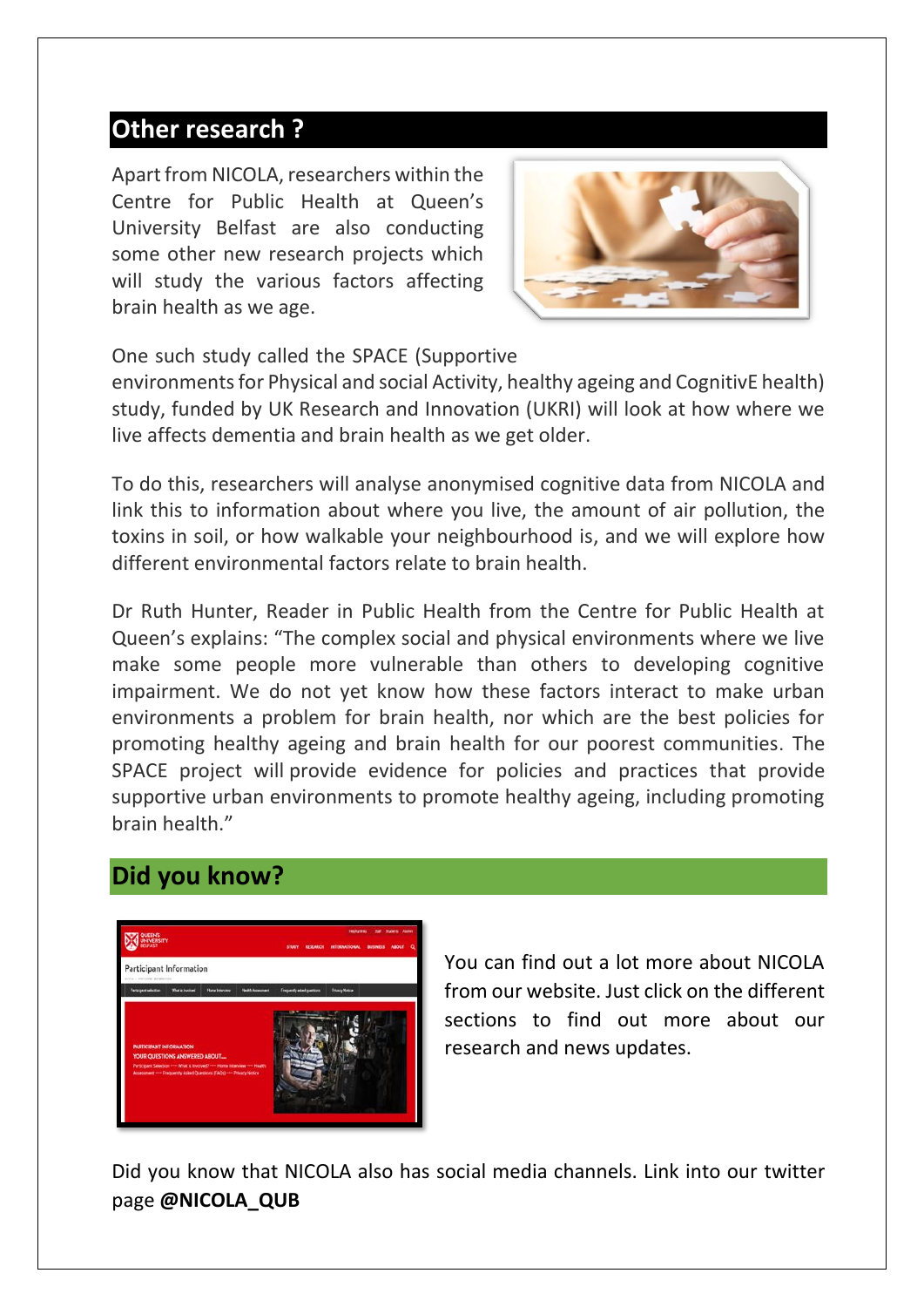# **Other research ?**

Apart from NICOLA, researchers within the Centre for Public Health at Queen's University Belfast are also conducting some other new research projects which will study the various factors affecting brain health as we age.

![](_page_12_Picture_2.jpeg)

One such study called the SPACE (Supportive

environments for Physical and social Activity, healthy ageing and CognitivE health) study, funded by UK Research and Innovation (UKRI) will look at how where we live affects dementia and brain health as we get older.

To do this, researchers will analyse anonymised cognitive data from NICOLA and link this to information about where you live, the amount of air pollution, the toxins in soil, or how walkable your neighbourhood is, and we will explore how different environmental factors relate to brain health.

Dr Ruth Hunter, Reader in Public Health from the Centre for Public Health at Queen's explains: "The complex social and physical environments where we live make some people more vulnerable than others to developing cognitive impairment. We do not yet know how these factors interact to make urban environments a problem for brain health, nor which are the best policies for promoting healthy ageing and brain health for our poorest communities. The SPACE project will provide evidence for policies and practices that provide supportive urban environments to promote healthy ageing, including promoting brain health."

# **Did you know?**

![](_page_12_Picture_8.jpeg)

You can find out a lot more about NICOLA from our website. Just click on the different sections to find out more about our research and news updates.

Did you know that NICOLA also has social media channels. Link into our twitter page **@NICOLA\_QUB**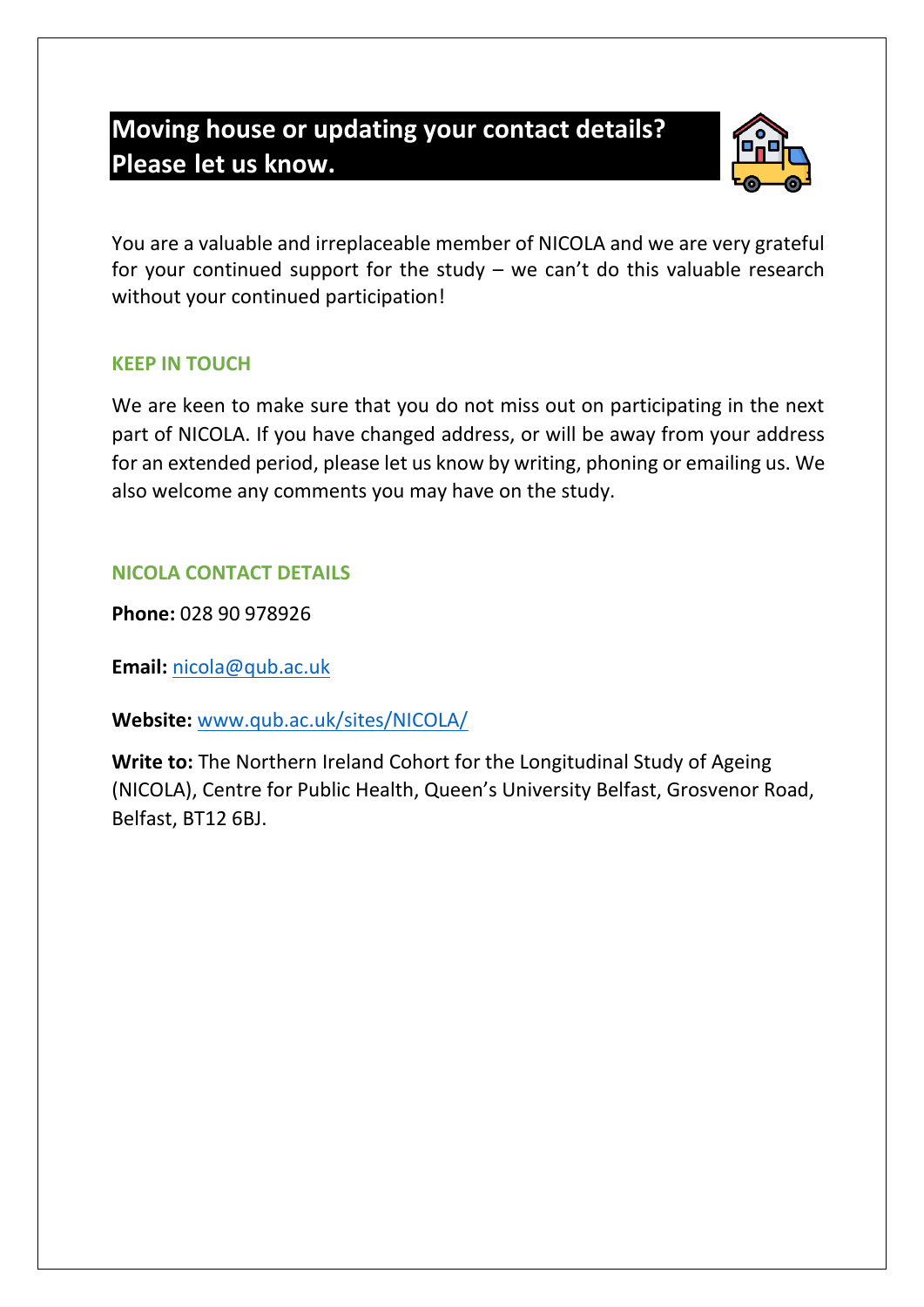# **Moving house or updating your contact details? Please let us know.**

![](_page_13_Picture_1.jpeg)

You are a valuable and irreplaceable member of NICOLA and we are very grateful for your continued support for the study  $-$  we can't do this valuable research without your continued participation!

## **KEEP IN TOUCH**

We are keen to make sure that you do not miss out on participating in the next part of NICOLA. If you have changed address, or will be away from your address for an extended period, please let us know by writing, phoning or emailing us. We also welcome any comments you may have on the study.

## **NICOLA CONTACT DETAILS**

**Phone:** 028 90 978926

**Email:** [nicola@qub.ac.uk](mailto:nicola@qub.ac.uk)

**Website:** [www.qub.ac.uk/sites/NICOLA/](http://www.qub.ac.uk/sites/NICOLA/)

**Write to:** The Northern Ireland Cohort for the Longitudinal Study of Ageing (NICOLA), Centre for Public Health, Queen's University Belfast, Grosvenor Road, Belfast, BT12 6BJ.